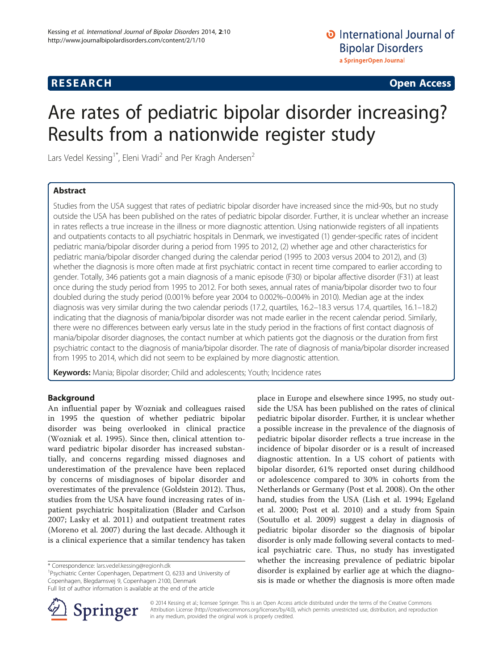# **RESEARCH CHE Open Access**

# Are rates of pediatric bipolar disorder increasing? Results from a nationwide register study

Lars Vedel Kessing<sup>1\*</sup>, Eleni Vradi<sup>2</sup> and Per Kragh Andersen<sup>2</sup>

# Abstract

Studies from the USA suggest that rates of pediatric bipolar disorder have increased since the mid-90s, but no study outside the USA has been published on the rates of pediatric bipolar disorder. Further, it is unclear whether an increase in rates reflects a true increase in the illness or more diagnostic attention. Using nationwide registers of all inpatients and outpatients contacts to all psychiatric hospitals in Denmark, we investigated (1) gender-specific rates of incident pediatric mania/bipolar disorder during a period from 1995 to 2012, (2) whether age and other characteristics for pediatric mania/bipolar disorder changed during the calendar period (1995 to 2003 versus 2004 to 2012), and (3) whether the diagnosis is more often made at first psychiatric contact in recent time compared to earlier according to gender. Totally, 346 patients got a main diagnosis of a manic episode (F30) or bipolar affective disorder (F31) at least once during the study period from 1995 to 2012. For both sexes, annual rates of mania/bipolar disorder two to four doubled during the study period (0.001% before year 2004 to 0.002%–0.004% in 2010). Median age at the index diagnosis was very similar during the two calendar periods (17.2, quartiles, 16.2–18.3 versus 17.4, quartiles, 16.1–18.2) indicating that the diagnosis of mania/bipolar disorder was not made earlier in the recent calendar period. Similarly, there were no differences between early versus late in the study period in the fractions of first contact diagnosis of mania/bipolar disorder diagnoses, the contact number at which patients got the diagnosis or the duration from first psychiatric contact to the diagnosis of mania/bipolar disorder. The rate of diagnosis of mania/bipolar disorder increased from 1995 to 2014, which did not seem to be explained by more diagnostic attention.

Keywords: Mania; Bipolar disorder; Child and adolescents; Youth; Incidence rates

# Background

An influential paper by Wozniak and colleagues raised in 1995 the question of whether pediatric bipolar disorder was being overlooked in clinical practice (Wozniak et al. [1995\)](#page-6-0). Since then, clinical attention toward pediatric bipolar disorder has increased substantially, and concerns regarding missed diagnoses and underestimation of the prevalence have been replaced by concerns of misdiagnoses of bipolar disorder and overestimates of the prevalence (Goldstein [2012](#page-6-0)). Thus, studies from the USA have found increasing rates of inpatient psychiatric hospitalization (Blader and Carlson [2007;](#page-6-0) Lasky et al. [2011](#page-6-0)) and outpatient treatment rates (Moreno et al. [2007](#page-6-0)) during the last decade. Although it is a clinical experience that a similar tendency has taken

\* Correspondence: [lars.vedel.kessing@regionh.dk](mailto:lars.vedel.kessing@regionh.dk) <sup>1</sup>

Springer

<sup>1</sup>Psychiatric Center Copenhagen, Department O, 6233 and University of Copenhagen, Blegdamsvej 9, Copenhagen 2100, Denmark



place in Europe and elsewhere since 1995, no study outside the USA has been published on the rates of clinical pediatric bipolar disorder. Further, it is unclear whether a possible increase in the prevalence of the diagnosis of pediatric bipolar disorder reflects a true increase in the

© 2014 Kessing et al.; licensee Springer. This is an Open Access article distributed under the terms of the Creative Commons Attribution License [\(http://creativecommons.org/licenses/by/4.0\)](http://creativecommons.org/licenses/by/4.0), which permits unrestricted use, distribution, and reproduction in any medium, provided the original work is properly credited.

Full list of author information is available at the end of the article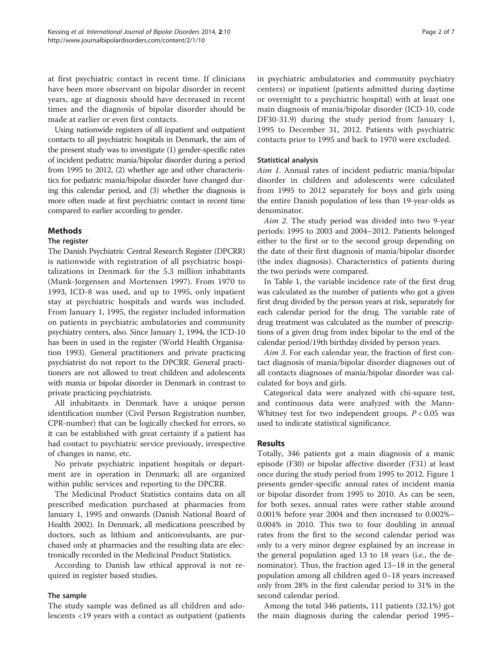at first psychiatric contact in recent time. If clinicians have been more observant on bipolar disorder in recent years, age at diagnosis should have decreased in recent times and the diagnosis of bipolar disorder should be made at earlier or even first contacts.

Using nationwide registers of all inpatient and outpatient contacts to all psychiatric hospitals in Denmark, the aim of the present study was to investigate (1) gender-specific rates of incident pediatric mania/bipolar disorder during a period from 1995 to 2012, (2) whether age and other characteristics for pediatric mania/bipolar disorder have changed during this calendar period, and (3) whether the diagnosis is more often made at first psychiatric contact in recent time compared to earlier according to gender.

# **Methods**

# The register

The Danish Psychiatric Central Research Register (DPCRR) is nationwide with registration of all psychiatric hospitalizations in Denmark for the 5.3 million inhabitants (Munk-Jorgensen and Mortensen [1997](#page-6-0)). From 1970 to 1993, ICD-8 was used, and up to 1995, only inpatient stay at psychiatric hospitals and wards was included. From January 1, 1995, the register included information on patients in psychiatric ambulatories and community psychiatry centers, also. Since January 1, 1994, the ICD-10 has been in used in the register (World Health Organisation [1993\)](#page-6-0). General practitioners and private practicing psychiatrist do not report to the DPCRR. General practitioners are not allowed to treat children and adolescents with mania or bipolar disorder in Denmark in contrast to private practicing psychiatrists.

All inhabitants in Denmark have a unique person identification number (Civil Person Registration number, CPR-number) that can be logically checked for errors, so it can be established with great certainty if a patient has had contact to psychiatric service previously, irrespective of changes in name, etc.

No private psychiatric inpatient hospitals or department are in operation in Denmark; all are organized within public services and reporting to the DPCRR.

The Medicinal Product Statistics contains data on all prescribed medication purchased at pharmacies from January 1, 1995 and onwards (Danish National Board of Health [2002](#page-6-0)). In Denmark, all medications prescribed by doctors, such as lithium and anticonvulsants, are purchased only at pharmacies and the resulting data are electronically recorded in the Medicinal Product Statistics.

According to Danish law ethical approval is not required in register based studies.

# The sample

The study sample was defined as all children and adolescents <19 years with a contact as outpatient (patients in psychiatric ambulatories and community psychiatry centers) or inpatient (patients admitted during daytime or overnight to a psychiatric hospital) with at least one main diagnosis of mania/bipolar disorder (ICD-10, code DF30-31.9) during the study period from January 1, 1995 to December 31, 2012. Patients with psychiatric contacts prior to 1995 and back to 1970 were excluded.

# Statistical analysis

Aim 1. Annual rates of incident pediatric mania/bipolar disorder in children and adolescents were calculated from 1995 to 2012 separately for boys and girls using the entire Danish population of less than 19-year-olds as denominator.

Aim 2. The study period was divided into two 9-year periods: 1995 to 2003 and 2004–2012. Patients belonged either to the first or to the second group depending on the date of their first diagnosis of mania/bipolar disorder (the index diagnosis). Characteristics of patients during the two periods were compared.

In Table [1](#page-2-0), the variable incidence rate of the first drug was calculated as the number of patients who got a given first drug divided by the person years at risk, separately for each calendar period for the drug. The variable rate of drug treatment was calculated as the number of prescriptions of a given drug from index bipolar to the end of the calendar period/19th birthday divided by person years.

Aim 3. For each calendar year, the fraction of first contact diagnosis of mania/bipolar disorder diagnoses out of all contacts diagnoses of mania/bipolar disorder was calculated for boys and girls.

Categorical data were analyzed with chi-square test, and continuous data were analyzed with the Mann-Whitney test for two independent groups.  $P < 0.05$  was used to indicate statistical significance.

# Results

Totally, 346 patients got a main diagnosis of a manic episode (F30) or bipolar affective disorder (F31) at least once during the study period from 1995 to 2012. Figure [1](#page-3-0) presents gender-specific annual rates of incident mania or bipolar disorder from 1995 to 2010. As can be seen, for both sexes, annual rates were rather stable around 0.001% before year 2004 and then increased to 0.002%– 0.004% in 2010. This two to four doubling in annual rates from the first to the second calendar period was only to a very minor degree explained by an increase in the general population aged 13 to 18 years (i.e., the denominator). Thus, the fraction aged 13–18 in the general population among all children aged 0–18 years increased only from 28% in the first calendar period to 31% in the second calendar period.

Among the total 346 patients, 111 patients (32.1%) got the main diagnosis during the calendar period 1995–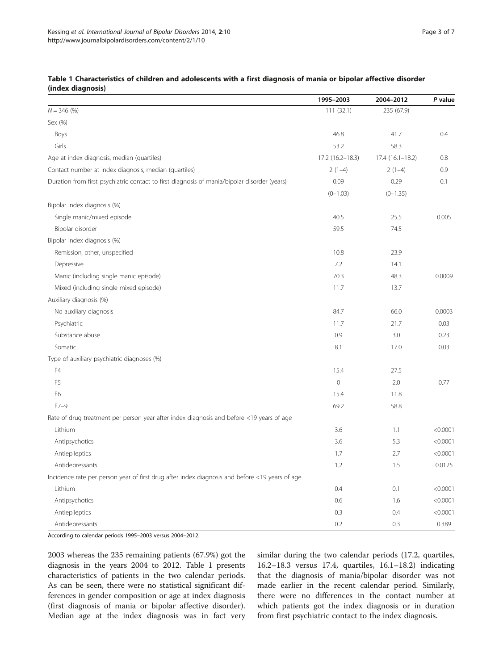|                                                                                                | 1995-2003        | 2004-2012         | P value  |
|------------------------------------------------------------------------------------------------|------------------|-------------------|----------|
| $N = 346$ (%)                                                                                  | 111(32.1)        | 235 (67.9)        |          |
| Sex (%)                                                                                        |                  |                   |          |
| Boys                                                                                           | 46.8             | 41.7              | 0.4      |
| Girls                                                                                          | 53.2             | 58.3              |          |
| Age at index diagnosis, median (quartiles)                                                     | 17.2 (16.2-18.3) | $17.4(16.1-18.2)$ | 0.8      |
| Contact number at index diagnosis, median (quartiles)                                          | $2(1-4)$         | $2(1-4)$          | 0.9      |
| Duration from first psychiatric contact to first diagnosis of mania/bipolar disorder (years)   | 0.09             | 0.29              | 0.1      |
|                                                                                                | $(0-1.03)$       | $(0-1.35)$        |          |
| Bipolar index diagnosis (%)                                                                    |                  |                   |          |
| Single manic/mixed episode                                                                     | 40.5             | 25.5              | 0.005    |
| Bipolar disorder                                                                               | 59.5             | 74.5              |          |
| Bipolar index diagnosis (%)                                                                    |                  |                   |          |
| Remission, other, unspecified                                                                  | 10.8             | 23.9              |          |
| Depressive                                                                                     | 7.2              | 14.1              |          |
| Manic (including single manic episode)                                                         | 70.3             | 48.3              | 0.0009   |
| Mixed (including single mixed episode)                                                         | 11.7             | 13.7              |          |
| Auxiliary diagnosis (%)                                                                        |                  |                   |          |
| No auxiliary diagnosis                                                                         | 84.7             | 66.0              | 0.0003   |
| Psychiatric                                                                                    | 11.7             | 21.7              | 0.03     |
| Substance abuse                                                                                | 0.9              | 3.0               | 0.23     |
| Somatic                                                                                        | 8.1              | 17.0              | 0.03     |
| Type of auxiliary psychiatric diagnoses (%)                                                    |                  |                   |          |
| F4                                                                                             | 15.4             | 27.5              |          |
| F <sub>5</sub>                                                                                 | $\mathbf 0$      | 2.0               | 0.77     |
| F6                                                                                             | 15.4             | 11.8              |          |
| $F7-9$                                                                                         | 69.2             | 58.8              |          |
| Rate of drug treatment per person year after index diagnosis and before <19 years of age       |                  |                   |          |
| Lithium                                                                                        | 3.6              | 1.1               | < 0.0001 |
| Antipsychotics                                                                                 | 3.6              | 5.3               | < 0.0001 |
| Antiepileptics                                                                                 | 1.7              | 2.7               | < 0.0001 |
| Antidepressants                                                                                | 1.2              | 1.5               | 0.0125   |
| Incidence rate per person year of first drug after index diagnosis and before <19 years of age |                  |                   |          |
| Lithium                                                                                        | 0.4              | 0.1               | < 0.0001 |
| Antipsychotics                                                                                 | 0.6              | 1.6               | < 0.0001 |
| Antiepileptics                                                                                 | 0.3              | 0.4               | < 0.0001 |
| Antidepressants                                                                                | 0.2              | 0.3               | 0.389    |

### <span id="page-2-0"></span>Table 1 Characteristics of children and adolescents with a first diagnosis of mania or bipolar affective disorder (index diagnosis)

According to calendar periods 1995–2003 versus 2004–2012.

2003 whereas the 235 remaining patients (67.9%) got the diagnosis in the years 2004 to 2012. Table 1 presents characteristics of patients in the two calendar periods. As can be seen, there were no statistical significant differences in gender composition or age at index diagnosis (first diagnosis of mania or bipolar affective disorder). Median age at the index diagnosis was in fact very

similar during the two calendar periods (17.2, quartiles, 16.2–18.3 versus 17.4, quartiles, 16.1–18.2) indicating that the diagnosis of mania/bipolar disorder was not made earlier in the recent calendar period. Similarly, there were no differences in the contact number at which patients got the index diagnosis or in duration from first psychiatric contact to the index diagnosis.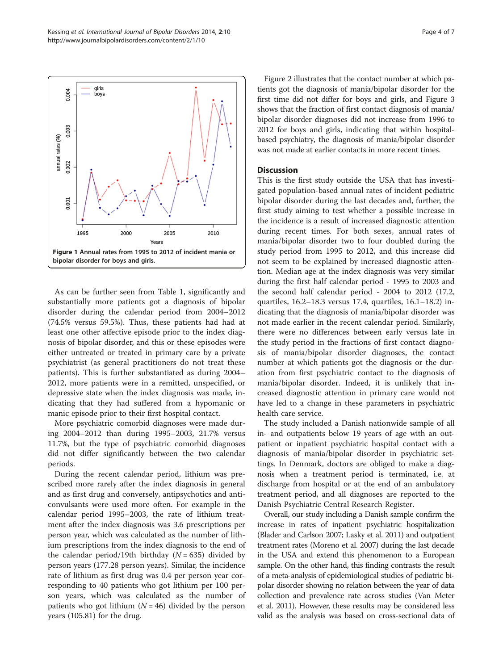As can be further seen from Table [1](#page-2-0), significantly and substantially more patients got a diagnosis of bipolar disorder during the calendar period from 2004–2012 (74.5% versus 59.5%). Thus, these patients had had at least one other affective episode prior to the index diagnosis of bipolar disorder, and this or these episodes were either untreated or treated in primary care by a private psychiatrist (as general practitioners do not treat these patients). This is further substantiated as during 2004– 2012, more patients were in a remitted, unspecified, or depressive state when the index diagnosis was made, indicating that they had suffered from a hypomanic or manic episode prior to their first hospital contact.

More psychiatric comorbid diagnoses were made during 2004–2012 than during 1995–2003, 21.7% versus 11.7%, but the type of psychiatric comorbid diagnoses did not differ significantly between the two calendar periods.

During the recent calendar period, lithium was prescribed more rarely after the index diagnosis in general and as first drug and conversely, antipsychotics and anticonvulsants were used more often. For example in the calendar period 1995–2003, the rate of lithium treatment after the index diagnosis was 3.6 prescriptions per person year, which was calculated as the number of lithium prescriptions from the index diagnosis to the end of the calendar period/19th birthday ( $N = 635$ ) divided by person years (177.28 person years). Similar, the incidence rate of lithium as first drug was 0.4 per person year corresponding to 40 patients who got lithium per 100 person years, which was calculated as the number of patients who got lithium  $(N = 46)$  divided by the person years (105.81) for the drug.

Figure [2](#page-4-0) illustrates that the contact number at which patients got the diagnosis of mania/bipolar disorder for the first time did not differ for boys and girls, and Figure [3](#page-4-0) shows that the fraction of first contact diagnosis of mania/ bipolar disorder diagnoses did not increase from 1996 to 2012 for boys and girls, indicating that within hospitalbased psychiatry, the diagnosis of mania/bipolar disorder was not made at earlier contacts in more recent times.

# **Discussion**

This is the first study outside the USA that has investigated population-based annual rates of incident pediatric bipolar disorder during the last decades and, further, the first study aiming to test whether a possible increase in the incidence is a result of increased diagnostic attention during recent times. For both sexes, annual rates of mania/bipolar disorder two to four doubled during the study period from 1995 to 2012, and this increase did not seem to be explained by increased diagnostic attention. Median age at the index diagnosis was very similar during the first half calendar period - 1995 to 2003 and the second half calendar period - 2004 to 2012 (17.2, quartiles, 16.2–18.3 versus 17.4, quartiles, 16.1–18.2) indicating that the diagnosis of mania/bipolar disorder was not made earlier in the recent calendar period. Similarly, there were no differences between early versus late in the study period in the fractions of first contact diagnosis of mania/bipolar disorder diagnoses, the contact number at which patients got the diagnosis or the duration from first psychiatric contact to the diagnosis of mania/bipolar disorder. Indeed, it is unlikely that increased diagnostic attention in primary care would not have led to a change in these parameters in psychiatric health care service.

The study included a Danish nationwide sample of all in- and outpatients below 19 years of age with an outpatient or inpatient psychiatric hospital contact with a diagnosis of mania/bipolar disorder in psychiatric settings. In Denmark, doctors are obliged to make a diagnosis when a treatment period is terminated, i.e. at discharge from hospital or at the end of an ambulatory treatment period, and all diagnoses are reported to the Danish Psychiatric Central Research Register.

Overall, our study including a Danish sample confirm the increase in rates of inpatient psychiatric hospitalization (Blader and Carlson [2007;](#page-6-0) Lasky et al. [2011](#page-6-0)) and outpatient treatment rates (Moreno et al. [2007](#page-6-0)) during the last decade in the USA and extend this phenomenon to a European sample. On the other hand, this finding contrasts the result of a meta-analysis of epidemiological studies of pediatric bipolar disorder showing no relation between the year of data collection and prevalence rate across studies (Van Meter et al. [2011](#page-6-0)). However, these results may be considered less valid as the analysis was based on cross-sectional data of

<span id="page-3-0"></span>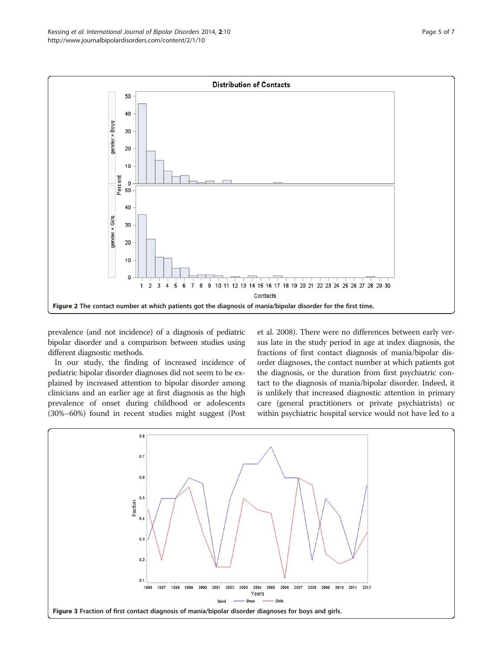<span id="page-4-0"></span>

prevalence (and not incidence) of a diagnosis of pediatric bipolar disorder and a comparison between studies using different diagnostic methods.

In our study, the finding of increased incidence of pediatric bipolar disorder diagnoses did not seem to be explained by increased attention to bipolar disorder among clinicians and an earlier age at first diagnosis as the high prevalence of onset during childhood or adolescents (30%–60%) found in recent studies might suggest (Post

et al. [2008\)](#page-6-0). There were no differences between early versus late in the study period in age at index diagnosis, the fractions of first contact diagnosis of mania/bipolar disorder diagnoses, the contact number at which patients got the diagnosis, or the duration from first psychiatric contact to the diagnosis of mania/bipolar disorder. Indeed, it is unlikely that increased diagnostic attention in primary care (general practitioners or private psychiatrists) or within psychiatric hospital service would not have led to a

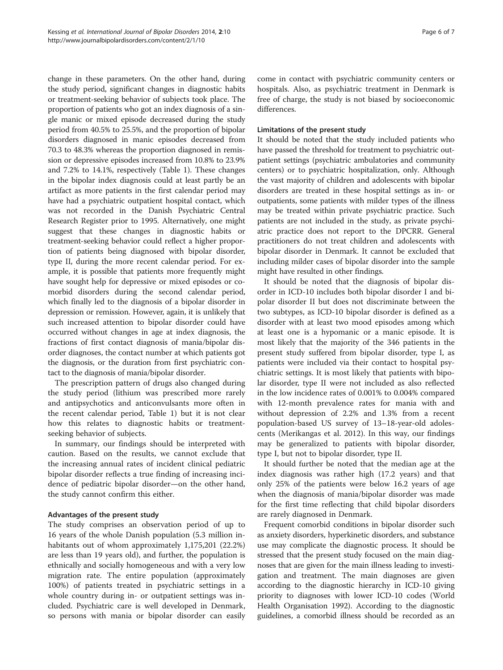change in these parameters. On the other hand, during the study period, significant changes in diagnostic habits or treatment-seeking behavior of subjects took place. The proportion of patients who got an index diagnosis of a single manic or mixed episode decreased during the study period from 40.5% to 25.5%, and the proportion of bipolar disorders diagnosed in manic episodes decreased from 70.3 to 48.3% whereas the proportion diagnosed in remission or depressive episodes increased from 10.8% to 23.9% and 7.2% to 14.1%, respectively (Table [1](#page-2-0)). These changes in the bipolar index diagnosis could at least partly be an artifact as more patients in the first calendar period may have had a psychiatric outpatient hospital contact, which was not recorded in the Danish Psychiatric Central Research Register prior to 1995. Alternatively, one might suggest that these changes in diagnostic habits or treatment-seeking behavior could reflect a higher proportion of patients being diagnosed with bipolar disorder, type II, during the more recent calendar period. For example, it is possible that patients more frequently might have sought help for depressive or mixed episodes or comorbid disorders during the second calendar period, which finally led to the diagnosis of a bipolar disorder in depression or remission. However, again, it is unlikely that such increased attention to bipolar disorder could have occurred without changes in age at index diagnosis, the fractions of first contact diagnosis of mania/bipolar disorder diagnoses, the contact number at which patients got the diagnosis, or the duration from first psychiatric contact to the diagnosis of mania/bipolar disorder.

The prescription pattern of drugs also changed during the study period (lithium was prescribed more rarely and antipsychotics and anticonvulsants more often in the recent calendar period, Table [1](#page-2-0)) but it is not clear how this relates to diagnostic habits or treatmentseeking behavior of subjects.

In summary, our findings should be interpreted with caution. Based on the results, we cannot exclude that the increasing annual rates of incident clinical pediatric bipolar disorder reflects a true finding of increasing incidence of pediatric bipolar disorder—on the other hand, the study cannot confirm this either.

# Advantages of the present study

The study comprises an observation period of up to 16 years of the whole Danish population (5.3 million inhabitants out of whom approximately 1,175,201 (22.2%) are less than 19 years old), and further, the population is ethnically and socially homogeneous and with a very low migration rate. The entire population (approximately 100%) of patients treated in psychiatric settings in a whole country during in- or outpatient settings was included. Psychiatric care is well developed in Denmark, so persons with mania or bipolar disorder can easily

come in contact with psychiatric community centers or hospitals. Also, as psychiatric treatment in Denmark is free of charge, the study is not biased by socioeconomic differences.

#### Limitations of the present study

It should be noted that the study included patients who have passed the threshold for treatment to psychiatric outpatient settings (psychiatric ambulatories and community centers) or to psychiatric hospitalization, only. Although the vast majority of children and adolescents with bipolar disorders are treated in these hospital settings as in- or outpatients, some patients with milder types of the illness may be treated within private psychiatric practice. Such patients are not included in the study, as private psychiatric practice does not report to the DPCRR. General practitioners do not treat children and adolescents with bipolar disorder in Denmark. It cannot be excluded that including milder cases of bipolar disorder into the sample might have resulted in other findings.

It should be noted that the diagnosis of bipolar disorder in ICD-10 includes both bipolar disorder I and bipolar disorder II but does not discriminate between the two subtypes, as ICD-10 bipolar disorder is defined as a disorder with at least two mood episodes among which at least one is a hypomanic or a manic episode. It is most likely that the majority of the 346 patients in the present study suffered from bipolar disorder, type I, as patients were included via their contact to hospital psychiatric settings. It is most likely that patients with bipolar disorder, type II were not included as also reflected in the low incidence rates of 0.001% to 0.004% compared with 12-month prevalence rates for mania with and without depression of 2.2% and 1.3% from a recent population-based US survey of 13–18-year-old adolescents (Merikangas et al. [2012](#page-6-0)). In this way, our findings may be generalized to patients with bipolar disorder, type I, but not to bipolar disorder, type II.

It should further be noted that the median age at the index diagnosis was rather high (17.2 years) and that only 25% of the patients were below 16.2 years of age when the diagnosis of mania/bipolar disorder was made for the first time reflecting that child bipolar disorders are rarely diagnosed in Denmark.

Frequent comorbid conditions in bipolar disorder such as anxiety disorders, hyperkinetic disorders, and substance use may complicate the diagnostic process. It should be stressed that the present study focused on the main diagnoses that are given for the main illness leading to investigation and treatment. The main diagnoses are given according to the diagnostic hierarchy in ICD-10 giving priority to diagnoses with lower ICD-10 codes (World Health Organisation [1992\)](#page-6-0). According to the diagnostic guidelines, a comorbid illness should be recorded as an